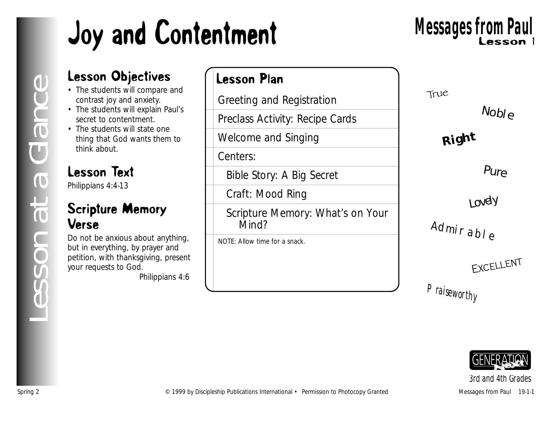

## Lesson Objectives

- The students will compare and contrast joy and anxiety.
- The students will explain Paul's secret to contentment.
- The students will state one thing that God wants them to think about.

## Lesson Text

Philippians 4:4-13

## Scripture Memory Verse

Do not be anxious about anything, but in everything, by prayer and petition, with thanksgiving, present your requests to God.

*Philippians 4:6*

Lesson Plan Greeting and Registration Preclass Activity: Recipe Cards Welcome and Singing Centers:

Bible Story: A Big Secret

Craft: Mood Ring

Scripture Memory: What's on Your Mind?

NOTE: Allow time for a snack.

True

NOBLF

**Right**

Lesson 1 **Messages from Paul**

Pure

Lovely



Excellent

*Praiseworthy*



*3rd and 4th Grades*

*Lesson at a Glance*

esson at a Glance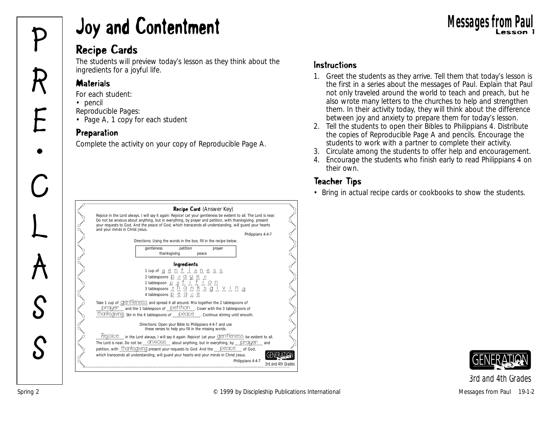# **Solution 1 and Contentment P Lesson** 1<br> **P Lesson** 1<br> **Recipe Cards**

## Recipe Cards

The students will preview today's lesson as they think about the ingredients for a joyful life.

## **Materials**

*For each student:*

- pencil
- *Reproducible Pages:*
- Page A, 1 copy for each student

and your minds in Christ Jesus.

## Preparation

Complete the activity on your copy of Reproducible Page A.

Recipe Card (Answer Key)

Rejoice in the Lord always. I will say it again: Rejoice! Let your gentleness be evident to all. The Lord is near. Do not be anxious about anything, but in everything, by prayer and petition, with thanksgiving, present your requests to God. And the peace of God, which transcends all understanding, will guard your hearts

Directions: Using the words in the box, fill in the recipe below.

Directions: Open your Bible to Philippians 4:4-7 and use these verses to help you fill in the missing words. Rejoice in the Lord always. I will say it again: Rejoice! Let your gentleness be evident to all The Lord is near. Do not be \_\_\_\_\_\_\_\_\_\_\_\_\_\_ about anything, but in everything, by \_\_\_\_\_\_\_\_\_\_\_\_\_\_ and Rejoice gentleness anxious prayer petition, with **thanksgiving** present your requests to God. And the <u>Peace</u> of God, which transcends all understanding, will guard your hearts and your minds in Christ Jesus.

 $_3$  tablespoons  $\pm$   $\underline{h}$   $\underline{\alpha}$   $\underline{n}$   $\underline{k}$   $\underline{s}$   $\underline{g}$   $\underline{i}$   $\underline{v}$   $\underline{i}$   $\underline{n}$   $\underline{g}$ 

thanksgiving peace Ingredients  $1$  cup of  $g \underline{e} n \underline{t} \underline{l} \underline{e} n \underline{e} s \underline{s}$ 2 tablespoons <u>p r d y e r</u>  $2$  tablespoons  $p \rightharpoonup p \rightharpoonup q \rightharpoonup p \rightharpoonup p$ <br>1 tablespoon  $p \rightharpoonup p \rightharpoonup \bot \rightharpoonup p \rightharpoonup p$ 

gentleness petition

4 tablespoons  $\underline{p} \underline{e} \underline{a} \underline{c} \underline{e}$ Take 1 cup of *QCNT leness* and spread it all around. Mix together the 2 tablespoons of Take 1 cup of <u>Gent<sup>1</sup>leness</u> and spread it all around. Mix together the 2 tablespoons of <u>periodical</u><br><u>production and the 1 tablespoon of pet<sup>h</sup>ition scover with the 3 tablespoons of</u> thanksgiving. Stir in the 4 tablespoons of <u>Peace</u> . Continue stirring until smooth.

## Instructions

- 1. Greet the students as they arrive. Tell them that today's lesson is the first in a series about the messages of Paul. Explain that Paul not only traveled around the world to teach and preach, but he also wrote many letters to the churches to help and strengthen them. In their activity today, they will think about the difference between joy and anxiety to prepare them for today's lesson.
- 2. Tell the students to open their Bibles to Philippians 4. Distribute the copies of Reproducible Page A and pencils. Encourage the students to work with a partner to complete their activity.
- 3. Circulate among the students to offer help and encouragement.
- 4. Encourage the students who finish early to read Philippians 4 on their own.

## Teacher Tips

• Bring in actual recipe cards or cookbooks to show the students.



*3rd and 4th Grades*

GENERAI.

*Philippians 4:4-7*

*Philippians 4:4-7*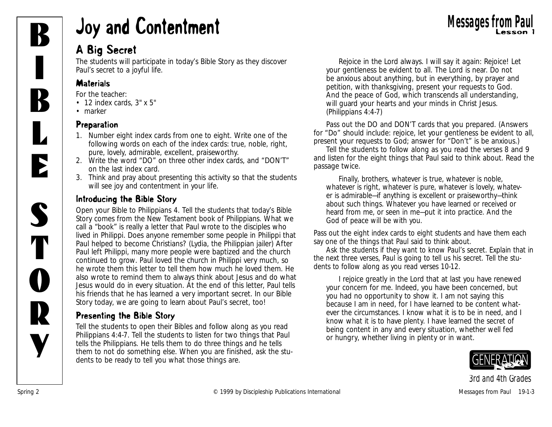

## **B** Joy and Contentment Messages from Paul Research

## A Big Secret

The students will participate in today's Bible Story as they discover Paul's secret to a joyful life.

## **Materials**

*For the teacher:*

- 12 index cards, 3" x 5"
- marker

#### Preparation

- 1. Number eight index cards from one to eight. Write one of the following words on each of the index cards: true, noble, right, pure, lovely, admirable, excellent, praiseworthy.
- 2. Write the word "DO" on three other index cards, and "DON'T" on the last index card.
- 3. Think and pray about presenting this activity so that the students will see joy and contentment in your life.

### Introducing the Bible Story

Open your Bible to Philippians 4. Tell the students that today's Bible Story comes from the New Testament book of Philippians. *What we call a "book" is really a letter that Paul wrote to the disciples who lived in Philippi. Does anyone remember some people in Philippi that Paul helped to become Christians?* (Lydia, the Philippian jailer) *After Paul left Philippi, many more people were baptized and the church continued to grow. Paul loved the church in Philippi very much, so he wrote them this letter to tell them how much he loved them. He also wrote to remind them to always think about Jesus and do what Jesus would do in every situation. At the end of this letter, Paul tells his friends that he has learned a very important secret. In our Bible Story today, we are going to learn about Paul's secret, too!*

#### Presenting the Bible Story

Tell the students to open their Bibles and follow along as you read Philippians 4:4-7. Tell the students to listen for two things that Paul tells the Philippians. He tells them to do three things and he tells them to not do something else. When you are finished, ask the students to be ready to tell you what those things are.

*Rejoice in the Lord always. I will say it again: Rejoice! Let your gentleness be evident to all. The Lord is near. Do not be anxious about anything, but in everything, by prayer and petition, with thanksgiving, present your requests to God. And the peace of God, which transcends all understanding, will guard your hearts and your minds in Christ Jesus.* (Philippians 4:4-7)

Pass out the DO and DON'T cards that you prepared. (Answers for "Do" should include: rejoice, let your gentleness be evident to all, present your requests to God; answer for "Don't" is be anxious.)

Tell the students to follow along as you read the verses 8 and 9 and listen for the eight things that Paul said to think about. Read the passage twice.

*Finally, brothers, whatever is true, whatever is noble, whatever is right, whatever is pure, whatever is lovely, whatever is admirable—if anything is excellent or praiseworthy—think about such things. Whatever you have learned or received or heard from me, or seen in me—put it into practice. And the God of peace will be with you.* 

Pass out the eight index cards to eight students and have them each say one of the things that Paul said to think about.

Ask the students if they want to know Paul's secret. Explain that in the next three verses, Paul is going to tell us his secret. Tell the students to follow along as you read verses 10-12.

*I rejoice greatly in the Lord that at last you have renewed your concern for me. Indeed, you have been concerned, but you had no opportunity to show it. I am not saying this because I am in need, for I have learned to be content whatever the circumstances. I know what it is to be in need, and I know what it is to have plenty. I have learned the secret of being content in any and every situation, whether well fed or hungry, whether living in plenty or in want.*

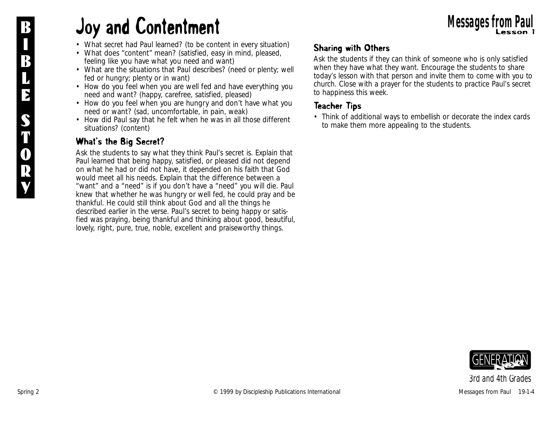## B **Joy and Contentment Example 1 Contentment**

- *What secret had Paul learned?* (to be content in every situation)
- *What does "content" mean?* (satisfied, easy in mind, pleased, feeling like you have what you need and want)
- *What are the situations that Paul describes?* (need or plenty; well fed or hungry; plenty or in want)
- *How do you feel when you are well fed and have everything you need and want?* (happy, carefree, satisfied, pleased)
- *How do you feel when you are hungry and don't have what you need or want?* (sad, uncomfortable, in pain, weak)
- *How did Paul say that he felt when he was in all those different situations?* (content)

## What's the Big Secret?

Ask the students to say what they think Paul's secret is. Explain that Paul learned that being happy, satisfied, or pleased did not depend on what he had or did not have, it depended on his faith that God would meet all his needs. Explain that the difference between a "want" and a "need" is if you don't have a "need" you will die. Paul knew that whether he was hungry or well fed, he could pray and be thankful. He could still think about God and all the things he described earlier in the verse. Paul's secret to being happy or satisfied was praying, being thankful and thinking about good, beautiful, lovely, right, pure, true, noble, excellent and praiseworthy things.

## Sharing with Others

Ask the students if they can think of someone who is only satisfied when they have what they want. Encourage the students to share today's lesson with that person and invite them to come with you to church. Close with a prayer for the students to practice Paul's secret to happiness this week.

## Teacher Tips

• Think of additional ways to embellish or decorate the index cards to make them more appealing to the students.

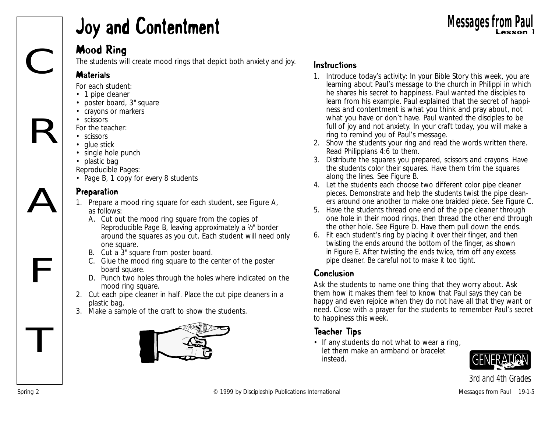

A

 $\mathbf{F}$ 

T

## Joy and Contentment

## Mood Ring

The students will create mood rings that depict both anxiety and joy.

#### **Materials**

*For each student:*

- 1 pipe cleaner
- poster board, 3" square
- crayons or markers
- scissors

*For the teacher:*

- scissors
- glue stick
- single hole punch
- plastic bag
- *Reproducible Pages:*
- Page B, 1 copy for every 8 students

## Preparation

- 1. Prepare a mood ring square for each student, see Figure A, as follows:
	- A. Cut out the mood ring square from the copies of Reproducible Page B, leaving approximately a 1/2" border around the squares as you cut. Each student will need only one square.
	- B. Cut a 3" square from poster board.
	- C. Glue the mood ring square to the center of the poster board square.
	- D. Punch two holes through the holes where indicated on the mood ring square.
- 2. Cut each pipe cleaner in half. Place the cut pipe cleaners in a plastic bag.
- 3. Make a sample of the craft to show the students.



## Instructions

1. Introduce today's activity: *In your Bible Story this week, you are learning about Paul's message to the church in Philippi in which he shares his secret to happiness. Paul wanted the disciples to learn from his example. Paul explained that the secret of happiness and contentment is what you think and pray about, not what you have or don't have. Paul wanted the disciples to be full of joy and not anxiety. In your craft today, you will make a ring to remind you of Paul's message.*

**Messages from** 

- 2. Show the students your ring and read the words written there*.* Read Philippians 4:6 to them.
- 3. Distribute the squares you prepared, scissors and crayons. Have the students color their squares. Have them trim the squares along the lines. See Figure B.
- 4. Let the students each choose two different color pipe cleaner pieces. Demonstrate and help the students twist the pipe cleaners around one another to make one braided piece. See Figure C.
- 5. Have the students thread one end of the pipe cleaner through one hole in their mood rings, then thread the other end through the other hole. See Figure D. Have them pull down the ends.
- 6. Fit each student's ring by placing it over their finger, and then twisting the ends around the bottom of the finger, as shown in Figure E. After twisting the ends twice, trim off any excess pipe cleaner. Be careful not to make it too tight.

## Conclusion

Ask the students to name one thing that they worry about. Ask them how it makes them feel to know that Paul says they can be happy and even rejoice when they do not have all that they want or need. Close with a prayer for the students to remember Paul's secret to happiness this week.

## Teacher Tips

• If any students do not what to wear a ring, let them make an armband or bracelet instead.

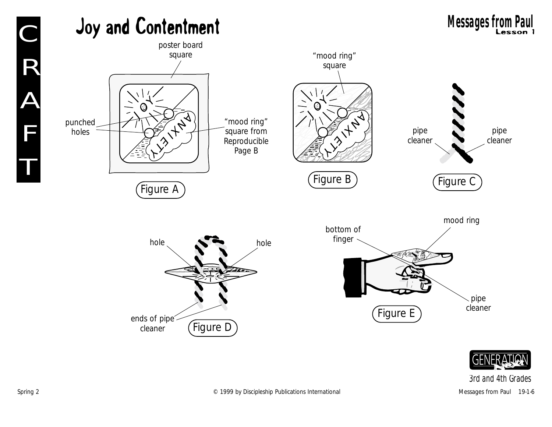

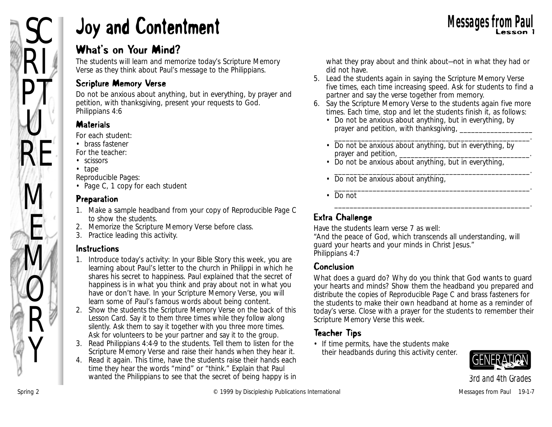

## SC Joy and Contentment **SC Access** Messages from Paul

## What's on Your Mind?

The students will learn and memorize today's Scripture Memory Verse as they think about Paul's message to the Philippians.

### Scripture Memory Verse

Do not be anxious about anything, but in everything, by prayer and petition, with thanksgiving, present your requests to God. *Philippians 4:6*

### **Materials**

*For each student:*

- brass fastener
- *For the teacher:*
- scissors
- tape
- *Reproducible Pages:*
- Page C, 1 copy for each student

## Preparation

- 1. Make a sample headband from your copy of Reproducible Page C to show the students.
- 2. Memorize the Scripture Memory Verse before class.
- 3. Practice leading this activity.

## Instructions

- 1. Introduce today's activity: *In your Bible Story this week, you are learning about Paul's letter to the church in Philippi in which he shares his secret to happiness. Paul explained that the secret of happiness is in what you think and pray about not in what you have or don't have. In your Scripture Memory Verse, you will learn some of Paul's famous words about being content.*
- 2. Show the students the Scripture Memory Verse on the back of this Lesson Card. Say it to them three times while they follow along silently. Ask them to say it together with you three more times. Ask for volunteers to be your partner and say it to the group.
- 3. Read Philippians 4:4-9 to the students. Tell them to listen for the Scripture Memory Verse and raise their hands when they hear it.
- 4. Read it again. This time, have the students raise their hands each time they hear the words "mind" or "think." Explain that Paul wanted the Philippians to see that the secret of being happy is in

what they pray about and think about—not in what they had or did not have.

- 5. Lead the students again in saying the Scripture Memory Verse five times, each time increasing speed. Ask for students to find a partner and say the verse together from memory.
- 6. Say the Scripture Memory Verse to the students again five more times. Each time, stop and let the students finish it, as follows:
	- Do not be anxious about anything, but in everything, by prayer and petition, with thanksgiving,
	- \_\_\_\_\_\_\_\_\_\_\_\_\_\_\_\_\_\_\_\_\_\_\_\_\_\_\_\_\_\_\_\_\_\_\_\_\_\_\_\_\_\_\_\_\_\_\_\_\_\_\_. • Do not be anxious about anything, but in everything, by prayer and petition,
	- Do not be anxious about anything, but in everything,
	- \_\_\_\_\_\_\_\_\_\_\_\_\_\_\_\_\_\_\_\_\_\_\_\_\_\_\_\_\_\_\_\_\_\_\_\_\_\_\_\_\_\_\_\_\_\_\_\_\_\_\_. • Do not be anxious about anything,
	- \_\_\_\_\_\_\_\_\_\_\_\_\_\_\_\_\_\_\_\_\_\_\_\_\_\_\_\_\_\_\_\_\_\_\_\_\_\_\_\_\_\_\_\_\_\_\_\_\_\_\_. • Do not \_\_\_\_\_\_\_\_\_\_\_\_\_\_\_\_\_\_\_\_\_\_\_\_\_\_\_\_\_\_\_\_\_\_\_\_\_\_\_\_\_\_\_\_\_\_\_\_\_\_\_.

## Extra Challenge

Have the students learn verse 7 as well: "And the peace of God, which transcends all understanding, will guard your hearts and your minds in Christ Jesus." *Philippians 4:7*

## Conclusion

*What does a guard do? Why do you think that God wants to guard your hearts and minds?* Show them the headband you prepared and distribute the copies of Reproducible Page C and brass fasteners for the students to make their own headband at home as a reminder of today's verse. Close with a prayer for the students to remember their Scripture Memory Verse this week.

## Teacher Tips

• If time permits, have the students make their headbands during this activity center.

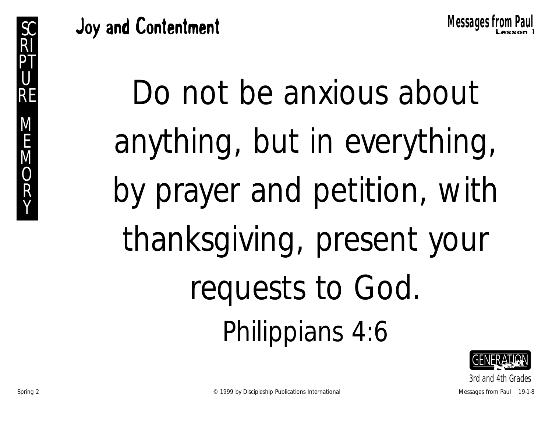Do not be anxious about anything, but in everything, by prayer and petition, with thanksgiving, present your requests to God. Philippians 4:6

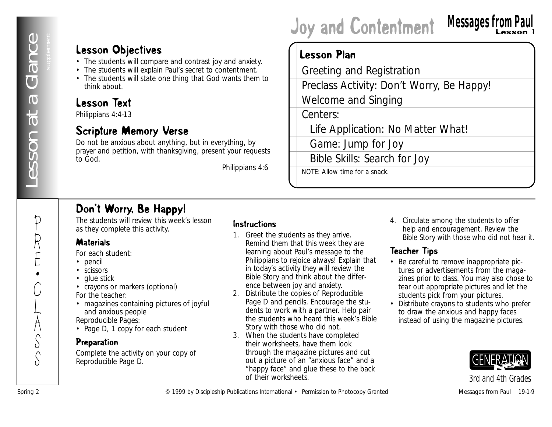## Lesson Objectives

- The students will compare and contrast joy and anxiety.
- The students will explain Paul's secret to contentment.
- The students will state one thing that God wants them to think about.

## Lesson Text

## Scripture Memory Verse

## Joy and Contentment **Messages from Paul**

## Lesson Plan

|                                                        |                                                                                                                                                                                                                                                                                                                                                                                                                                                                   |                                      | <b>GITS OUTIONINGITS</b>                                                                                                                                                                                                                                                                                                                                                                                                                                                                                                                                                                                                                                                                                             | Lesson I                                                                                                                                                                                                                                                                                                                                                                                                                                                                                                                                      |
|--------------------------------------------------------|-------------------------------------------------------------------------------------------------------------------------------------------------------------------------------------------------------------------------------------------------------------------------------------------------------------------------------------------------------------------------------------------------------------------------------------------------------------------|--------------------------------------|----------------------------------------------------------------------------------------------------------------------------------------------------------------------------------------------------------------------------------------------------------------------------------------------------------------------------------------------------------------------------------------------------------------------------------------------------------------------------------------------------------------------------------------------------------------------------------------------------------------------------------------------------------------------------------------------------------------------|-----------------------------------------------------------------------------------------------------------------------------------------------------------------------------------------------------------------------------------------------------------------------------------------------------------------------------------------------------------------------------------------------------------------------------------------------------------------------------------------------------------------------------------------------|
|                                                        | <b>Lesson Objectives</b><br>• The students will compare and contrast joy and anxiety.<br>• The students will explain Paul's secret to contentment.<br>• The students will state one thing that God wants them to<br>think about.                                                                                                                                                                                                                                  |                                      | <b>Lesson Plan</b><br>Greeting and Registration                                                                                                                                                                                                                                                                                                                                                                                                                                                                                                                                                                                                                                                                      | Preclass Activity: Don't Worry, Be Happy!                                                                                                                                                                                                                                                                                                                                                                                                                                                                                                     |
|                                                        | <b>Lesson Text</b><br>Philippians 4:4-13                                                                                                                                                                                                                                                                                                                                                                                                                          |                                      | Welcome and Singing<br>Centers:                                                                                                                                                                                                                                                                                                                                                                                                                                                                                                                                                                                                                                                                                      |                                                                                                                                                                                                                                                                                                                                                                                                                                                                                                                                               |
| <b>Lesson at a Glance</b>                              | <b>Scripture Memory Verse</b><br>Do not be anxious about anything, but in everything, by<br>prayer and petition, with thanksgiving, present your requests<br>to God.                                                                                                                                                                                                                                                                                              | Philippians 4:6                      | Game: Jump for Joy<br>Bible Skills: Search for Joy<br>NOTE: Allow time for a snack.                                                                                                                                                                                                                                                                                                                                                                                                                                                                                                                                                                                                                                  | Life Application: No Matter What!                                                                                                                                                                                                                                                                                                                                                                                                                                                                                                             |
| D<br>$\bullet$<br>$\hat{\mathcal{S}}$<br>$\mathcal{S}$ | Don't Worry, Be Happy!<br>The students will review this week's lesson<br>as they complete this activity.<br><b>Materials</b><br>For each student:<br>• pencil<br>• scissors<br>• glue stick<br>• crayons or markers (optional)<br>For the teacher:<br>• magazines containing pictures of joyful<br>and anxious people<br>Reproducible Pages:<br>• Page D, 1 copy for each student<br>Preparation<br>Complete the activity on your copy of<br>Reproducible Page D. | Instructions<br>of their worksheets. | 1. Greet the students as they arrive.<br>Remind them that this week they are<br>learning about Paul's message to the<br>Philippians to rejoice always! Explain that<br>in today's activity they will review the<br>Bible Story and think about the differ-<br>ence between joy and anxiety.<br>2. Distribute the copies of Reproducible<br>Page D and pencils. Encourage the stu-<br>dents to work with a partner. Help pair<br>the students who heard this week's Bible<br>Story with those who did not.<br>3. When the students have completed<br>their worksheets, have them look<br>through the magazine pictures and cut<br>out a picture of an "anxious face" and a<br>"happy face" and glue these to the back | 4. Circulate among the students to offer<br>help and encouragement. Review the<br>Bible Story with those who did not hear it.<br><b>Teacher Tips</b><br>• Be careful to remove inappropriate pic-<br>tures or advertisements from the maga-<br>zines prior to class. You may also chose to<br>tear out appropriate pictures and let the<br>students pick from your pictures.<br>• Distribute crayons to students who prefer<br>to draw the anxious and happy faces<br>instead of using the magazine pictures.<br>GENERA<br>3rd and 4th Grades |
| Spring 2                                               |                                                                                                                                                                                                                                                                                                                                                                                                                                                                   |                                      | © 1999 by Discipleship Publications International • Permission to Photocopy Granted                                                                                                                                                                                                                                                                                                                                                                                                                                                                                                                                                                                                                                  | Messages from Paul 19-1-9                                                                                                                                                                                                                                                                                                                                                                                                                                                                                                                     |

## Don't Worry, Be Happy!

#### **Materials**

- pencil
- scissors
- glue stick
- crayons or markers (optional) *For the teacher:*
- magazines containing pictures of joyful and anxious people

#### Preparation

#### Instructions

- 1. Greet the students as they arrive. Remind them that this week they are learning about Paul's message to the Philippians to rejoice always! Explain that in today's activity they will review the Bible Story and think about the difference between joy and anxiety.
- 2. Distribute the copies of Reproducible Page D and pencils. Encourage the students to work with a partner. Help pair the students who heard this week's Bible Story with those who did not.
- 3. When the students have completed their worksheets, have them look through the magazine pictures and cut out a picture of an "anxious face" and a "happy face" and glue these to the back of their worksheets.

## Teacher Tips

- Be careful to remove inappropriate pictures or advertisements from the magazines prior to class. You may also chose to tear out appropriate pictures and let the students pick from your pictures.
- Distribute crayons to students who prefer to draw the anxious and happy faces instead of using the magazine pictures.

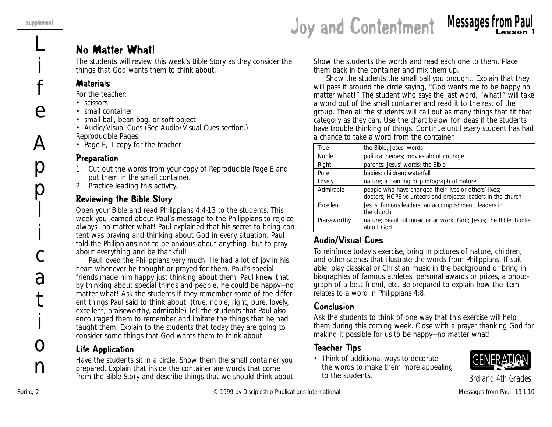L

i

f

e

 $\bm{\mathsf{A}}$ 

p

p

l

i

c

a

t

i

o

n



## No Matter What!

The students will review this week's Bible Story as they consider the things that God wants them to think about.

#### **Materials**

*For the teacher:*

- scissors
- small container
- small ball, bean bag, or soft object
- Audio/Visual Cues (See Audio/Visual Cues section.) *Reproducible Pages:*
- Page E, 1 copy for the teacher

#### Preparation

- 1. Cut out the words from your copy of Reproducible Page E and put them in the small container.
- 2. Practice leading this activity.

## Reviewing the Bible Story

Open your Bible and read Philippians 4:4-13 to the students. *This week you learned about Paul's message to the Philippians to rejoice always—no matter what! Paul explained that his secret to being content was praying and thinking about God in every situation. Paul told the Philippians not to be anxious about anything—but to pray about everything and be thankful!* 

*Paul loved the Philippians very much. He had a lot of joy in his heart whenever he thought or prayed for them. Paul's special friends made him happy just thinking about them. Paul knew that by thinking about special things and people, he could be happy—no matter what!* Ask the students if they remember some of the different things Paul said to think about. (true, noble, right, pure, lovely, excellent, praiseworthy, admirable) Tell the students that Paul also encouraged them to remember and imitate the things that he had taught them. Explain to the students that today they are going to consider some things that God wants them to think about.

## Life Application

Have the students sit in a circle. Show them the small container you prepared. Explain that inside the container are words that come from the Bible Story and describe things that we should think about.

Show the students the words and read each one to them. Place them back in the container and mix them up.

Show the students the small ball you brought. Explain that they will pass it around the circle saying, "God wants me to be happy no matter what!" The student who says the last word, "what!" will take a word out of the small container and read it to the rest of the group. Then all the students will call out as many things that fit that category as they can. Use the chart below for ideas if the students have trouble thinking of things. Continue until every student has had a chance to take a word from the container.

| True         | the Bible; Jesus' words                                                                                               |
|--------------|-----------------------------------------------------------------------------------------------------------------------|
| <b>Noble</b> | political heroes; movies about courage                                                                                |
| Right        | parents; Jesus' words; the Bible                                                                                      |
| Pure         | babies; children; waterfall                                                                                           |
| Lovely       | nature; a painting or photograph of nature                                                                            |
| Admirable    | people who have changed their lives or others' lives;<br>doctors; HOPE volunteers and projects; leaders in the church |
| Excellent    | Jesus; famous leaders; an accomplishment; leaders in<br>the church                                                    |
| Praiseworthy | nature; beautiful music or artwork; God; Jesus; the Bible; books<br>about God                                         |

## Audio/Visual Cues

To reinforce today's exercise, bring in pictures of nature, children, and other scenes that illustrate the words from Philippians. If suitable, play classical or Christian music in the background or bring in biographies of famous athletes, personal awards or prizes, a photograph of a best friend, etc. Be prepared to explain how the item relates to a word in Philippians 4:8.

#### Conclusion

Ask the students to think of one way that this exercise will help them during this coming week. Close with a prayer thanking God for making it possible for us to be happy—no matter what!

## Teacher Tips

• Think of additional ways to decorate the words to make them more appealing to the students.

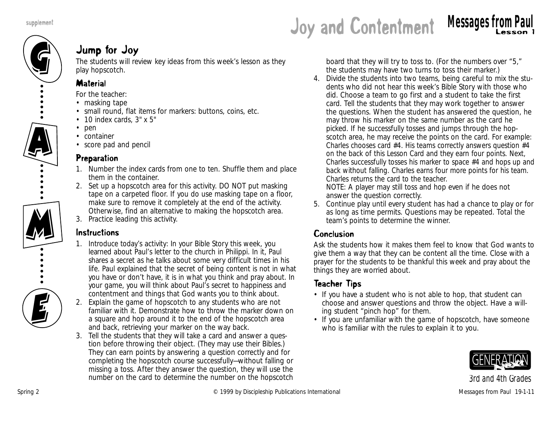

## Jump for Joy

The students will review key ideas from this week's lesson as they play hopscotch.

#### **Material**

*For the teacher:*

- masking tape
- small round, flat items for markers: buttons, coins, etc.
- 10 index cards, 3" x 5"
- pen
- container
- score pad and pencil

#### Preparation

- 1. Number the index cards from one to ten. Shuffle them and place them in the container.
- 2. Set up a hopscotch area for this activity. DO NOT put masking tape on a carpeted floor. If you do use masking tape on a floor, make sure to remove it completely at the end of the activity. Otherwise, find an alternative to making the hopscotch area.
- 3. Practice leading this activity.

#### Instructions

- 1. Introduce today's activity: *In your Bible Story this week, you learned about Paul's letter to the church in Philippi. In it, Paul shares a secret as he talks about some very difficult times in his life. Paul explained that the secret of being content is not in what you have or don't have, it is in what you think and pray about. In your game, you will think about Paul's secret to happiness and contentment and things that God wants you to think about.*
- 2. Explain the game of hopscotch to any students who are not familiar with it. Demonstrate how to throw the marker down on a square and hop around it to the end of the hopscotch area and back, retrieving your marker on the way back.
- 3. Tell the students that they will take a card and answer a question before throwing their object. (They may use their Bibles.) They can earn points by answering a question correctly and for completing the hopscotch course successfully—without falling or missing a toss. After they answer the question, they will use the number on the card to determine the number on the hopscotch

board that they will try to toss to. (For the numbers over "5," the students may have two turns to toss their marker.)

4. Divide the students into two teams, being careful to mix the students who did not hear this week's Bible Story with those who did. Choose a team to go first and a student to take the first card. Tell the students that they may work together to answer the questions. When the student has answered the question, he may throw his marker on the same number as the card he picked. If he successfully tosses and jumps through the hopscotch area, he may receive the points on the card. For example: Charles chooses card #4. His teams correctly answers question #4 on the back of this Lesson Card and they earn four points. Next, Charles successfully tosses his marker to space #4 and hops up and back without falling. Charles earns four more points for his team. Charles returns the card to the teacher.

NOTE: A player may still toss and hop even if he does not answer the question correctly.

5. Continue play until every student has had a chance to play or for as long as time permits. Questions may be repeated. Total the team's points to determine the winner.

## Conclusion

Ask the students how it makes them feel to know that God wants to give them a way that they can be content all the time. Close with a prayer for the students to be thankful this week and pray about the things they are worried about.

## Teacher Tips

- If you have a student who is not able to hop, that student can choose and answer questions and throw the object. Have a willing student "pinch hop" for them.
- If you are unfamiliar with the game of hopscotch, have someone who is familiar with the rules to explain it to you.

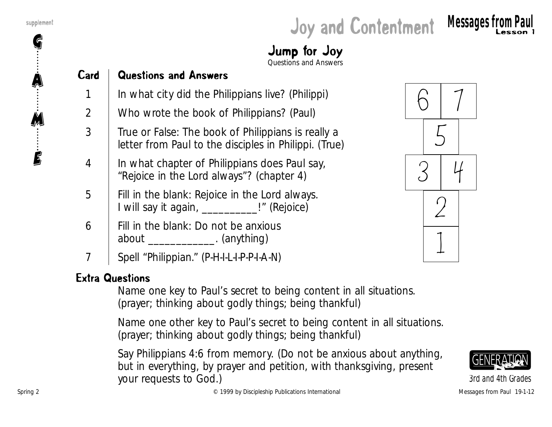G

A

M

E





## Jump for Joy

Questions and Answers

## Card | Questions and Answers

- 1 *In what city did the Philippians live?* (Philippi)
- 2 *Who wrote the book of Philippians?* (Paul)
- 3 *True or False: The book of Philippians is really a letter from Paul to the disciples in Philippi.* (True)
- 4 *In what chapter of Philippians does Paul say, "Rejoice in the Lord always"?* (chapter 4)
- 5 *Fill in the blank: Rejoice in the Lord always. I will say it again, \_\_\_\_\_\_\_\_\_\_!"* (Rejoice)
- 6 *Fill in the blank: Do not be anxious about \_\_\_\_\_\_\_\_\_\_\_\_.* (anything)
- 7 *Spell "Philippian."* (P-H-I-L-I-P-P-I-A-N)



## Extra Questions

*Name one key to Paul's secret to being content in all situations.*  (prayer; thinking about godly things; being thankful)

*Name one other key to Paul's secret to being content in all situations.*  (prayer; thinking about godly things; being thankful)

*Say Philippians 4:6 from memory.* (Do not be anxious about anything, but in everything, by prayer and petition, with thanksgiving, present your requests to God.)

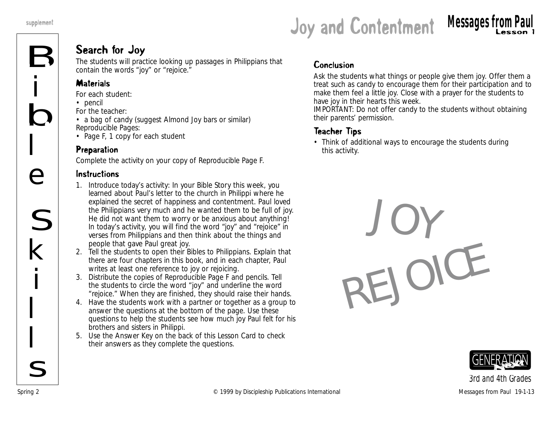supplement<br>
B

i

 $\frac{1}{\mathsf{B}}$ 

 $\overline{L}$ 

e

S

k

i

 $\overline{L}$ 

 $\overline{L}$ 

 $\boldsymbol{\zeta}$ 

## supplement **Lesson** 1 and Contentment Messages from Paul supplement

## Search for Joy

The students will practice looking up passages in Philippians that contain the words "joy" or "rejoice."

## **Materials**

*For each student:*

- pencil
- *For the teacher:*

• a bag of candy (suggest Almond Joy bars or similar) *Reproducible Pages:*

• Page F, 1 copy for each student

## Preparation

Complete the activity on your copy of Reproducible Page F.

## Instructions

- 1. Introduce today's activity: *In your Bible Story this week, you learned about Paul's letter to the church in Philippi where he explained the secret of happiness and contentment. Paul loved the Philippians very much and he wanted them to be full of joy. He did not want them to worry or be anxious about anything! In today's activity, you will find the word "joy" and "rejoice" in verses from Philippians and then think about the things and people that gave Paul great joy.*
- 2. Tell the students to open their Bibles to Philippians. Explain that there are four chapters in this book, and in each chapter, Paul writes at least one reference to joy or rejoicing.
- 3. Distribute the copies of Reproducible Page F and pencils. Tell the students to circle the word "joy" and underline the word "rejoice." When they are finished, they should raise their hands.
- 4. Have the students work with a partner or together as a group to answer the questions at the bottom of the page. Use these questions to help the students see how much joy Paul felt for his brothers and sisters in Philippi.
- 5. Use the Answer Key on the back of this Lesson Card to check their answers as they complete the questions.

## Conclusion

Ask the students what things or people give them joy. Offer them a treat such as candy to encourage them for their participation and to make them feel a little joy. Close with a prayer for the students to have joy in their hearts this week.

IMPORTANT: Do not offer candy to the students without obtaining their parents' permission.

## Teacher Tips

• Think of additional ways to encourage the students during this activity.



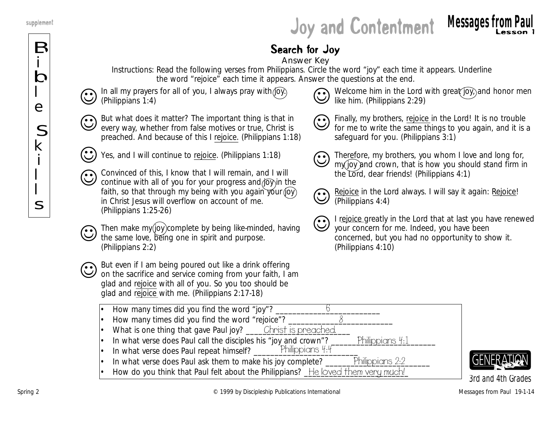B

i

b

l

e

S

k

i

l

l

s

## Search for Joy

### Answer Key

Instructions: Read the following verses from Philippians. Circle the word "joy" each time it appears. Underline the word "rejoice" each time it appears. Answer the questions at the end.

In all my prayers for all of you, I always pray with  $(0)$ . (Philippians 1:4) ☺



Welcome him in the Lord with great joy, and honor men like him. (Philippians 2:29)



But what does it matter? The important thing is that in every way, whether from false motives or true, Christ is preached. And because of this I rejoice. (Philippians 1:18)



Yes, and I will continue to rejoice. (Philippians 1:18)

Convinced of this, I know that I will remain, and I will continue with all of you for your progress and  $(0)$  in the faith, so that through my being with you again your  $(0)$ in Christ Jesus will overflow on account of me. (Philippians 1:25-26) ☺

Then make my(joy)complete by being like-minded, having the same love, being one in spirit and purpose. (Philippians 2:2) ☺



But even if I am being poured out like a drink offering **OD** But even if I am being poured out like a drink offering<br>on the sacrifice and service coming from your faith, I am glad and rejoice with all of you. So you too should be glad and rejoice with me. (Philippians 2:17-18)



Finally, my brothers, rejoice in the Lord! It is no trouble for me to write the same things to you again, and it is a safeguard for you. (Philippians 3:1) ☺



- **O** Therefore, my brothers, you whom I love and long for, my joy and crown, that is how you should stand firm in my joy and crown, that is how you should stand firm in the Lord, dear friends! (Philippians 4:1)
- Rejoice in the Lord always. I will say it again: Rejoice! (Philippians 4:4) ☺
- I rejoice greatly in the Lord that at last you have renewed your concern for me. Indeed, you have been concerned, but you had no opportunity to show it. (Philippians 4:10) ☺

- How many times did you find the word "joy"? 6
- How many times did you find the word "rejoice"? 8
- What is one thing that gave Paul joy? <u>\_\_\_\_\_Christ is preached.</u> \_\_\_\_\_\_\_\_\_\_\_\_\_\_
- In what verse does Paul call the disciples his "joy and crown"? Philippians  $4.1$
- In what verse does Paul repeat himself? Philippians 4:4
- In what verse does Paul ask them to make his joy complete? • How do you think that Paul felt about the Philippians?  $\frac{H}{V}$  He loved them very much! Philippians 2:2

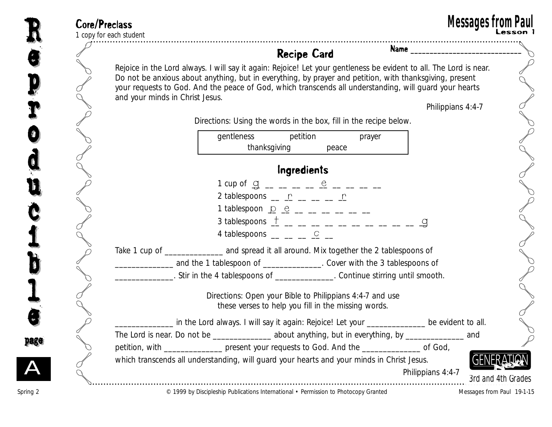**Core/Preclass**<br>1 copy for each student

e

e

R

p

p

r

r

o o

## Recipe Card **Name**

Rejoice in the Lord always. I will say it again: Rejoice! Let your gentleness be evident to all. The Lord is near. Do not be anxious about anything, but in everything, by prayer and petition, with thanksgiving, present your requests to God. And the peace of God, which transcends all understanding, will guard your hearts and your minds in Christ Jesus.

*Philippians 4:4-7*

Directions: Using the words in the box, fill in the recipe below.

| petition<br>gentleness<br>prayer                                                                                  |
|-------------------------------------------------------------------------------------------------------------------|
| thanksgiving<br>peace                                                                                             |
| Ingredients                                                                                                       |
| 1 cup of $\mathfrak{Q}$ _ _ _ _ _ $\mathfrak{E}$ _ _ _ _                                                          |
| 2 tablespoons $p_0$ $p_1$ $p_2$ $p_3$ $p_4$                                                                       |
| 1 tablespoon $p e$ $_  _  _  _  _ -$                                                                              |
| 3 tablespoons $\pm$ - - - - - - - - - - 9                                                                         |
| 4 tablespoons $\_\_$ $\_\_$ $\_\_$ $\_\_$ $\_\_$                                                                  |
| Take 1 cup of ________________ and spread it all around. Mix together the 2 tablespoons of                        |
| and the 1 tablespoon of _______________. Cover with the 3 tablespoons of                                          |
| _____________. Stir in the 4 tablespoons of _______________. Continue stirring until smooth.                      |
| Directions: Open your Bible to Philippians 4:4-7 and use<br>these verses to help you fill in the missing words.   |
| in the Lord always. I will say it again: Rejoice! Let your _____________ be evident to all.                       |
| The Lord is near. Do not be __________________ about anything, but in everything, by _________________ and        |
| petition, with ________________ present your requests to God. And the ______________ of God,                      |
| which transcends all understanding, will guard your hearts and your minds in Christ Jesus.                        |
| Philippians 4:4-7<br>3rd and 4th Grades                                                                           |
| © 1999 by Discipleship Publications International • Permission to Photocopy Granted<br>Messages from Paul 19-1-15 |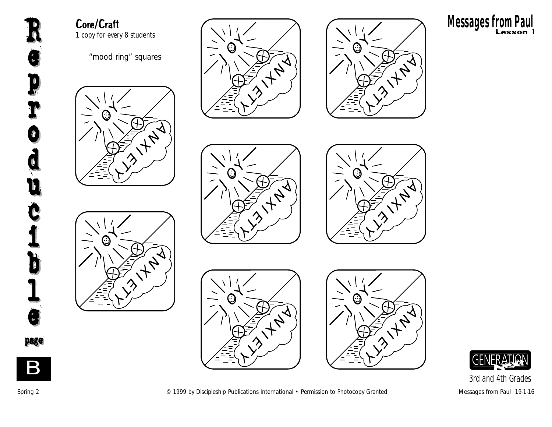

**Core/Craft**<br>1 copy for every 8 students

"mood ring" squares







**JOY** 









ANXIETY





*3rd and 4th Grades*

Spring 2 **Example 2** C 1999 by Discipleship Publications International • Permission to Photocopy Granted Messages from Paul 19-1-16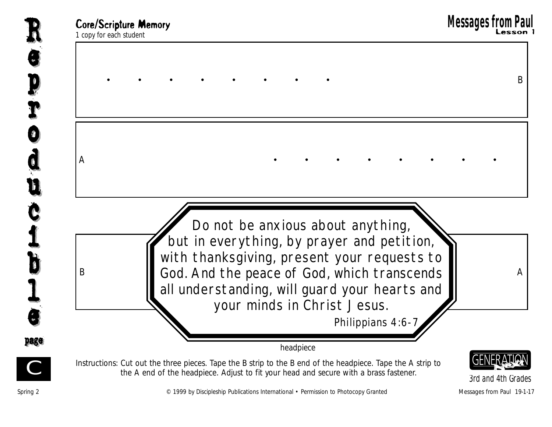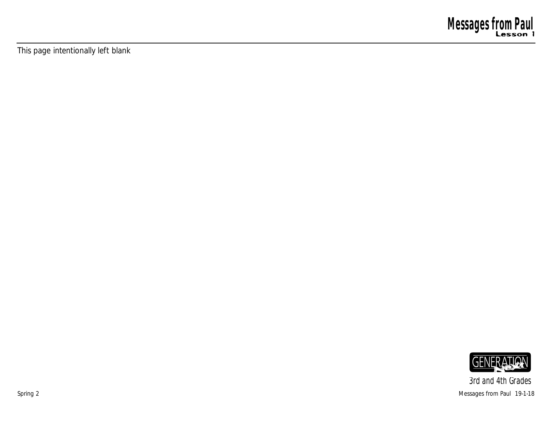

This page intentionally left blank



Spring 2 Messages from Paul 19-1-18 *3rd and 4th Grades*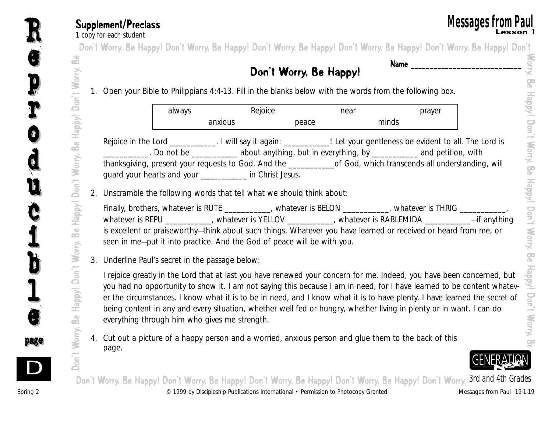**Messages from Paul (1998)**<br>1 copy for each student **Research Paul Den't Wesser Berned Den't Wesser Berned Den't Wesser Berned Den't Wesser**<br>1 Den't Wesser Berned Den't Wesser Berned Den't Wesser Berned Den't Wesser Berned Don't Worry, Be Happy! Don't Worry, Be Happy! Don't Worry, Be Happy! Don't Worry, Be Happy! Don't Worry, Be Happy! Don't

## Don't Worry, Be Happy! Name \_\_\_\_\_\_

|                                                                         | always                                                                                                                                                                                                                                                                                                                                                                                                |         | Rejoice |       | near |       | prayer |                                                                                                                                                                                                                                                                                                                                                                              |
|-------------------------------------------------------------------------|-------------------------------------------------------------------------------------------------------------------------------------------------------------------------------------------------------------------------------------------------------------------------------------------------------------------------------------------------------------------------------------------------------|---------|---------|-------|------|-------|--------|------------------------------------------------------------------------------------------------------------------------------------------------------------------------------------------------------------------------------------------------------------------------------------------------------------------------------------------------------------------------------|
|                                                                         |                                                                                                                                                                                                                                                                                                                                                                                                       | anxious |         | peace |      | minds |        |                                                                                                                                                                                                                                                                                                                                                                              |
|                                                                         | Rejoice in the Lord _____________. I will say it again: ____________! Let your gentleness be evident to all. The Lord is<br>Do not be _________ about anything, but in everything, by __________ and petition, with<br>thanksgiving, present your requests to God. And the ______________of God, which transcends all understanding, will<br>guard your hearts and your ____________ in Christ Jesus. |         |         |       |      |       |        |                                                                                                                                                                                                                                                                                                                                                                              |
| 2. Unscramble the following words that tell what we should think about: |                                                                                                                                                                                                                                                                                                                                                                                                       |         |         |       |      |       |        |                                                                                                                                                                                                                                                                                                                                                                              |
|                                                                         | Finally, brothers, whatever is RUTE __________, whatever is BELON _________, whatever is THRIG _________,<br>is excellent or praiseworthy-think about such things. Whatever you have learned or received or heard from me, or<br>seen in me-put it into practice. And the God of peace will be with you.                                                                                              |         |         |       |      |       |        | whatever is REPU ___________, whatever is YELLOV __________, whatever is RABLEMIDA ____________-if anything                                                                                                                                                                                                                                                                  |
|                                                                         |                                                                                                                                                                                                                                                                                                                                                                                                       |         |         |       |      |       |        |                                                                                                                                                                                                                                                                                                                                                                              |
|                                                                         |                                                                                                                                                                                                                                                                                                                                                                                                       |         |         |       |      |       |        |                                                                                                                                                                                                                                                                                                                                                                              |
| 3. Underline Paul's secret in the passage below:                        | being content in any and every situation, whether well fed or hungry, whether living in plenty or in want. I can do<br>everything through him who gives me strength.                                                                                                                                                                                                                                  |         |         |       |      |       |        | I rejoice greatly in the Lord that at last you have renewed your concern for me. Indeed, you have been concerned, but<br>you had no opportunity to show it. I am not saying this because I am in need, for I have learned to be content whatev-<br>er the circumstances. I know what it is to be in need, and I know what it is to have plenty. I have learned the secret of |

- 2. Unscramble the following words that tell what we should think about:
	- Finally, brothers, whatever is RUTE extending the section of the section of the section of the section of the section of the section of the section of the section of the section of the section of the section of the section whatever is REPU \_\_\_\_\_\_\_\_\_\_, whatever is YELLOV \_\_\_\_\_\_\_\_\_\_, whatever is RABLEMIDA \_\_\_\_\_\_\_\_\_\_\_\_\_\_\_\_\_\_\_\_\_\_if anything is excellent or praiseworthy—think about such things. Whatever you have learned or received or heard from me, or seen in me—put it into practice. And the God of peace will be with you.
- 3. Underline Paul's secret in the passage below:



Spring 2 **Examples 1999** and Consequently Publications International • Permission to Photocopy Granted Messages from Paul 19-1-19 Don't Worry, Be Happy! Don't Worry, Be Happy! Don't Worry, Be Happy! Don't Worry, Be Happy! Don't Worry, 3rd and 4th Grades

e

e

R

p p

r

r

o

o

d

d

u

u

c

Č

i

i

b b

 $\mathbf{I}% _{t}\left| \mathbf{I}_{t}\right| =\mathbf{I}_{t}+\mathbf{I}_{t}+\mathbf{I}_{t}+\mathbf{I}_{t}+\mathbf{I}_{t}+\mathbf{I}_{t}+\mathbf{I}_{t}+\mathbf{I}_{t}+\mathbf{I}_{t}+\mathbf{I}_{t}+\mathbf{I}_{t}+\mathbf{I}_{t}+\mathbf{I}_{t}+\mathbf{I}_{t}+\mathbf{I}_{t}+\mathbf{I}_{t}+\mathbf{I}_{t}+\mathbf{I}_{t}+\mathbf{I}_{t}+\mathbf{I}_{t}+\mathbf{I}_{t}+\mathbf{I}_{t}+\mathbf{I}_{t}+\mathbf{I}_{t}+\mathbf{I$ 

l

e

e

page page

D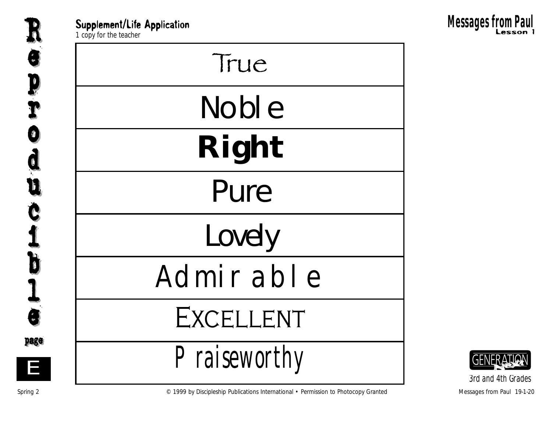